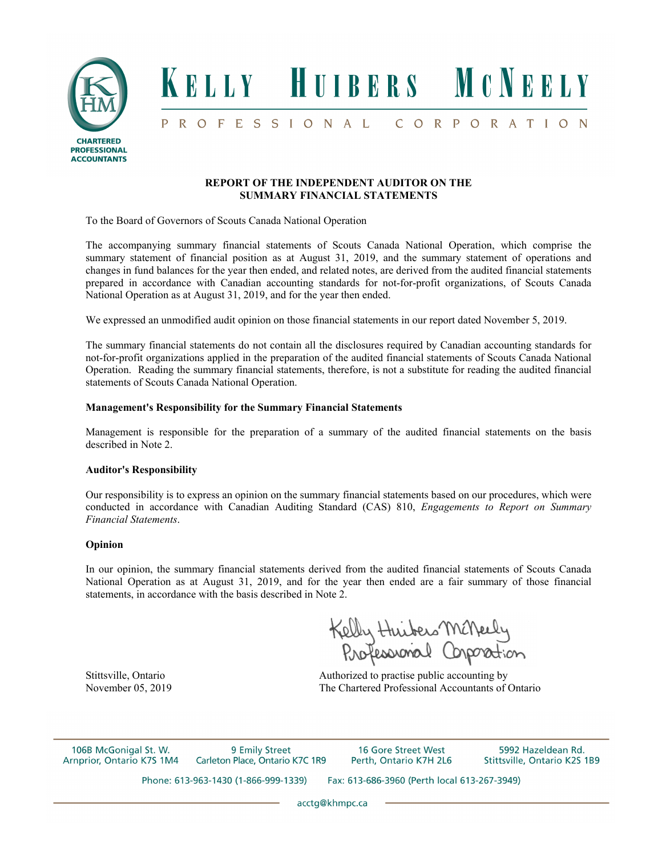

### **REPORT OF THE INDEPENDENT AUDITOR ON THE SUMMARY FINANCIAL STATEMENTS**

To the Board of Governors of Scouts Canada National Operation

The accompanying summary financial statements of Scouts Canada National Operation, which comprise the summary statement of financial position as at August 31, 2019, and the summary statement of operations and changes in fund balances for the year then ended, and related notes, are derived from the audited financial statements prepared in accordance with Canadian accounting standards for not-for-profit organizations, of Scouts Canada National Operation as at August 31, 2019, and for the year then ended.

We expressed an unmodified audit opinion on those financial statements in our report dated November 5, 2019.

The summary financial statements do not contain all the disclosures required by Canadian accounting standards for not-for-profit organizations applied in the preparation of the audited financial statements of Scouts Canada National Operation. Reading the summary financial statements, therefore, is not a substitute for reading the audited financial statements of Scouts Canada National Operation.

### **Management's Responsibility for the Summary Financial Statements**

Management is responsible for the preparation of a summary of the audited financial statements on the basis described in Note 2.

#### **Auditor's Responsibility**

Our responsibility is to express an opinion on the summary financial statements based on our procedures, which were conducted in accordance with Canadian Auditing Standard (CAS) 810, *Engagements to Report on Summary Financial Statements*.

#### **Opinion**

In our opinion, the summary financial statements derived from the audited financial statements of Scouts Canada National Operation as at August 31, 2019, and for the year then ended are a fair summary of those financial statements, in accordance with the basis described in Note 2.

Kelly Huibers McNeely<br>Roofessional Corporation

Stittsville, Ontario **Authorized** to practise public accounting by November 05, 2019 The Chartered Professional Accountants of Ontario

106B McGonigal St. W. 9 Emily Street 16 Gore Street West 5992 Hazeldean Rd. Arnprior, Ontario K7S 1M4 Carleton Place, Ontario K7C 1R9 Perth, Ontario K7H 2L6 Stittsville, Ontario K2S 1B9 Phone: 613-963-1430 (1-866-999-1339) Fax: 613-686-3960 (Perth local 613-267-3949)

acctg@khmpc.ca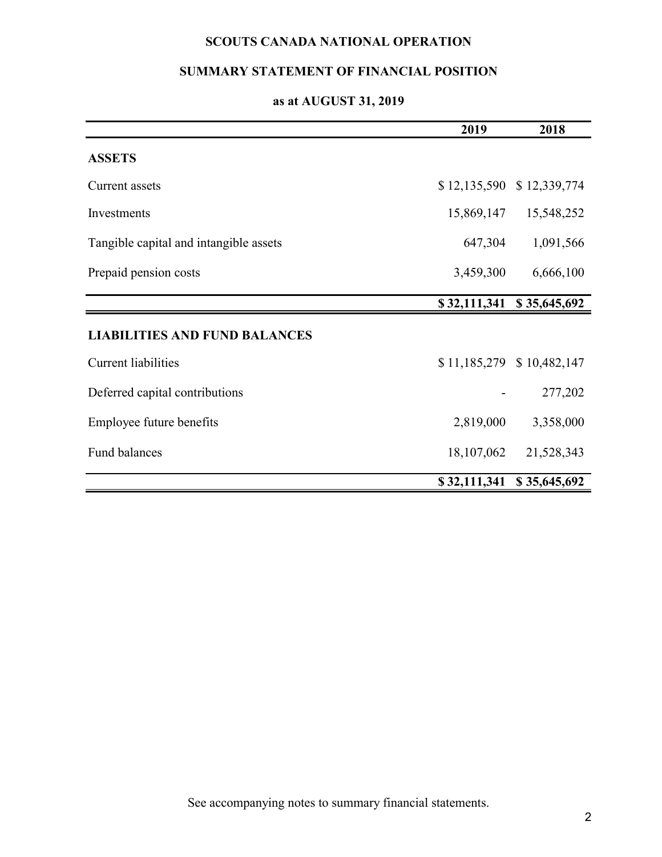# **SCOUTS CANADA NATIONAL OPERATION**

# **SUMMARY STATEMENT OF FINANCIAL POSITION**

# **as at AUGUST 31, 2019**

|                                        | 2019         | 2018                      |
|----------------------------------------|--------------|---------------------------|
| <b>ASSETS</b>                          |              |                           |
| Current assets                         |              | \$12,135,590 \$12,339,774 |
| Investments                            | 15,869,147   | 15,548,252                |
| Tangible capital and intangible assets | 647,304      | 1,091,566                 |
| Prepaid pension costs                  | 3,459,300    | 6,666,100                 |
|                                        | \$32,111,341 | \$35,645,692              |
| <b>LIABILITIES AND FUND BALANCES</b>   |              |                           |
| <b>Current liabilities</b>             |              | \$11,185,279 \$10,482,147 |
| Deferred capital contributions         |              | 277,202                   |
| Employee future benefits               | 2,819,000    | 3,358,000                 |
| Fund balances                          | 18,107,062   | 21,528,343                |
|                                        | \$32,111,341 | \$35,645,692              |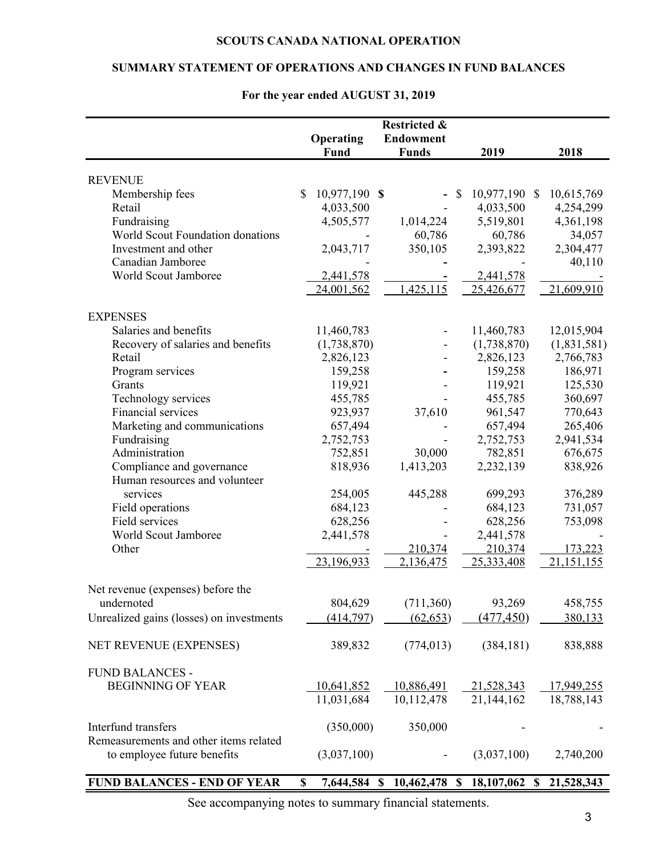### **SCOUTS CANADA NATIONAL OPERATION**

### **SUMMARY STATEMENT OF OPERATIONS AND CHANGES IN FUND BALANCES**

|                                          | Operating<br>Fund   | <b>Restricted &amp;</b><br><b>Endowment</b><br><b>Funds</b> | 2019                       | 2018              |
|------------------------------------------|---------------------|-------------------------------------------------------------|----------------------------|-------------------|
|                                          |                     |                                                             |                            |                   |
| <b>REVENUE</b><br>Membership fees        | 10,977,190 \$<br>\$ |                                                             | 10,977,190<br>$\mathbb{S}$ | 10,615,769<br>\$  |
| Retail                                   | 4,033,500           |                                                             | 4,033,500                  | 4,254,299         |
| Fundraising                              | 4,505,577           | 1,014,224                                                   | 5,519,801                  | 4,361,198         |
| World Scout Foundation donations         |                     | 60,786                                                      | 60,786                     | 34,057            |
| Investment and other                     | 2,043,717           | 350,105                                                     | 2,393,822                  | 2,304,477         |
| Canadian Jamboree                        |                     |                                                             |                            | 40,110            |
| World Scout Jamboree                     | 2,441,578           |                                                             | 2,441,578                  |                   |
|                                          | 24,001,562          | 1,425,115                                                   | 25,426,677                 | 21,609,910        |
| <b>EXPENSES</b>                          |                     |                                                             |                            |                   |
| Salaries and benefits                    | 11,460,783          |                                                             | 11,460,783                 | 12,015,904        |
| Recovery of salaries and benefits        | (1,738,870)         |                                                             | (1,738,870)                | (1,831,581)       |
| Retail                                   | 2,826,123           |                                                             | 2,826,123                  | 2,766,783         |
| Program services                         | 159,258             |                                                             | 159,258                    | 186,971           |
| Grants                                   | 119,921             |                                                             | 119,921                    | 125,530           |
| Technology services                      | 455,785             |                                                             | 455,785                    | 360,697           |
| Financial services                       | 923,937             | 37,610                                                      | 961,547                    | 770,643           |
| Marketing and communications             | 657,494             |                                                             | 657,494                    | 265,406           |
| Fundraising                              | 2,752,753           |                                                             | 2,752,753                  | 2,941,534         |
| Administration                           | 752,851             | 30,000                                                      | 782,851                    | 676,675           |
| Compliance and governance                | 818,936             | 1,413,203                                                   | 2,232,139                  | 838,926           |
| Human resources and volunteer            |                     |                                                             |                            |                   |
| services                                 | 254,005             | 445,288                                                     | 699,293                    | 376,289           |
| Field operations                         | 684,123             |                                                             | 684,123                    | 731,057           |
| Field services                           | 628,256             |                                                             | 628,256                    | 753,098           |
| World Scout Jamboree                     | 2,441,578           |                                                             | 2,441,578                  |                   |
| Other                                    |                     | 210,374                                                     | 210,374                    | 173,223           |
|                                          | 23,196,933          | 2,136,475                                                   | 25,333,408                 | 21, 151, 155      |
| Net revenue (expenses) before the        |                     |                                                             |                            |                   |
| undernoted                               | 804,629             | (711, 360)                                                  | 93,269                     | 458,755           |
| Unrealized gains (losses) on investments | (414, 797)          | (62, 653)                                                   | (477, 450)                 | 380,133           |
| NET REVENUE (EXPENSES)                   | 389,832             | (774, 013)                                                  | (384, 181)                 | 838,888           |
| <b>FUND BALANCES -</b>                   |                     |                                                             |                            |                   |
| <b>BEGINNING OF YEAR</b>                 | 10,641,852          | 10,886,491                                                  | 21,528,343                 | <u>17,949,255</u> |
|                                          | 11,031,684          | 10,112,478                                                  | 21,144,162                 | 18,788,143        |
| Interfund transfers                      | (350,000)           | 350,000                                                     |                            |                   |
| Remeasurements and other items related   |                     |                                                             |                            |                   |
| to employee future benefits              | (3,037,100)         |                                                             | (3,037,100)                | 2,740,200         |
| <b>FUND BALANCES - END OF YEAR</b>       | 7,644,584 \$<br>\$  | 10,462,478                                                  | 18,107,062 \$<br>- \$      | 21,528,343        |

### **For the year ended AUGUST 31, 2019**

See accompanying notes to summary financial statements.